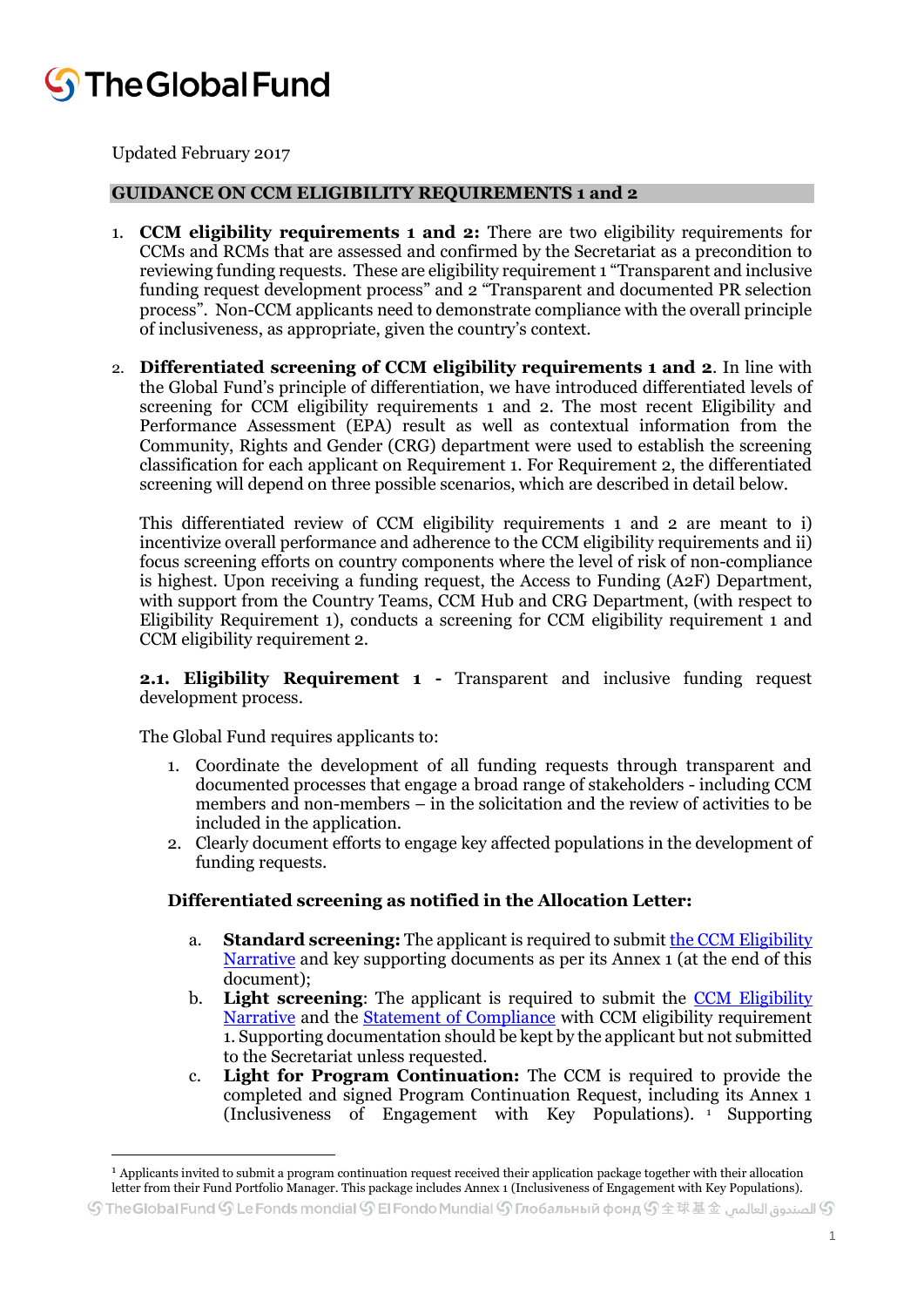# **J** The Global Fund

Updated February 2017

### **GUIDANCE ON CCM ELIGIBILITY REQUIREMENTS 1 and 2**

- 1. **CCM eligibility requirements 1 and 2:** There are two eligibility requirements for CCMs and RCMs that are assessed and confirmed by the Secretariat as a precondition to reviewing funding requests. These are eligibility requirement 1 "Transparent and inclusive funding request development process" and 2 "Transparent and documented PR selection process". Non-CCM applicants need to demonstrate compliance with the overall principle of inclusiveness, as appropriate, given the country's context.
- 2. **Differentiated screening of CCM eligibility requirements 1 and 2**. In line with the Global Fund's principle of differentiation, we have introduced differentiated levels of screening for CCM eligibility requirements 1 and 2. The most recent Eligibility and Performance Assessment (EPA) result as well as contextual information from the Community, Rights and Gender (CRG) department were used to establish the screening classification for each applicant on Requirement 1. For Requirement 2, the differentiated screening will depend on three possible scenarios, which are described in detail below.

This differentiated review of CCM eligibility requirements 1 and 2 are meant to i) incentivize overall performance and adherence to the CCM eligibility requirements and ii) focus screening efforts on country components where the level of risk of non-compliance is highest. Upon receiving a funding request, the Access to Funding (A2F) Department, with support from the Country Teams, CCM Hub and CRG Department, (with respect to Eligibility Requirement 1), conducts a screening for CCM eligibility requirement 1 and CCM eligibility requirement 2.

**2.1. Eligibility Requirement 1 -** Transparent and inclusive funding request development process.

The Global Fund requires applicants to:

**.** 

- 1. Coordinate the development of all funding requests through transparent and documented processes that engage a broad range of stakeholders - including CCM members and non-members – in the solicitation and the review of activities to be included in the application.
- 2. Clearly document efforts to engage key affected populations in the development of funding requests.

### **Differentiated screening as notified in the Allocation Letter:**

- a. **Standard screening:** The applicant is required to submi[t the CCM Eligibility](http://www.theglobalfund.org/en/applying/funding/materials/)  [Narrative](http://www.theglobalfund.org/en/applying/funding/materials/) and key supporting documents as per its Annex 1 (at the end of this document);
- b. **Light screening**: The applicant is required to submit the [CCM Eligibility](http://www.theglobalfund.org/en/applying/funding/materials/)  [Narrative](http://www.theglobalfund.org/en/applying/funding/materials/) and the [Statement of Compliance](http://www.theglobalfund.org/en/applying/funding/materials/) with CCM eligibility requirement 1. Supporting documentation should be kept by the applicant but not submitted to the Secretariat unless requested.
- c. **Light for Program Continuation:** The CCM is required to provide the completed and signed Program Continuation Request, including its Annex 1 (Inclusiveness of Engagement with Key Populations). <sup>1</sup> Supporting

<sup>1</sup> Applicants invited to submit a program continuation request received their application package together with their allocation letter from their Fund Portfolio Manager. This package includes Annex 1 (Inclusiveness of Engagement with Key Populations).

 $\mathbb S$ TheGlobal Fund  $\mathbb S$  Le Fonds mondial  $\mathbb S$  El Fondo Mundial  $\mathbb S$  Глобальный фонд  $\mathbb S$   $\pm$   $\mathbb R$   $\pm$   $\pm$   $\pm$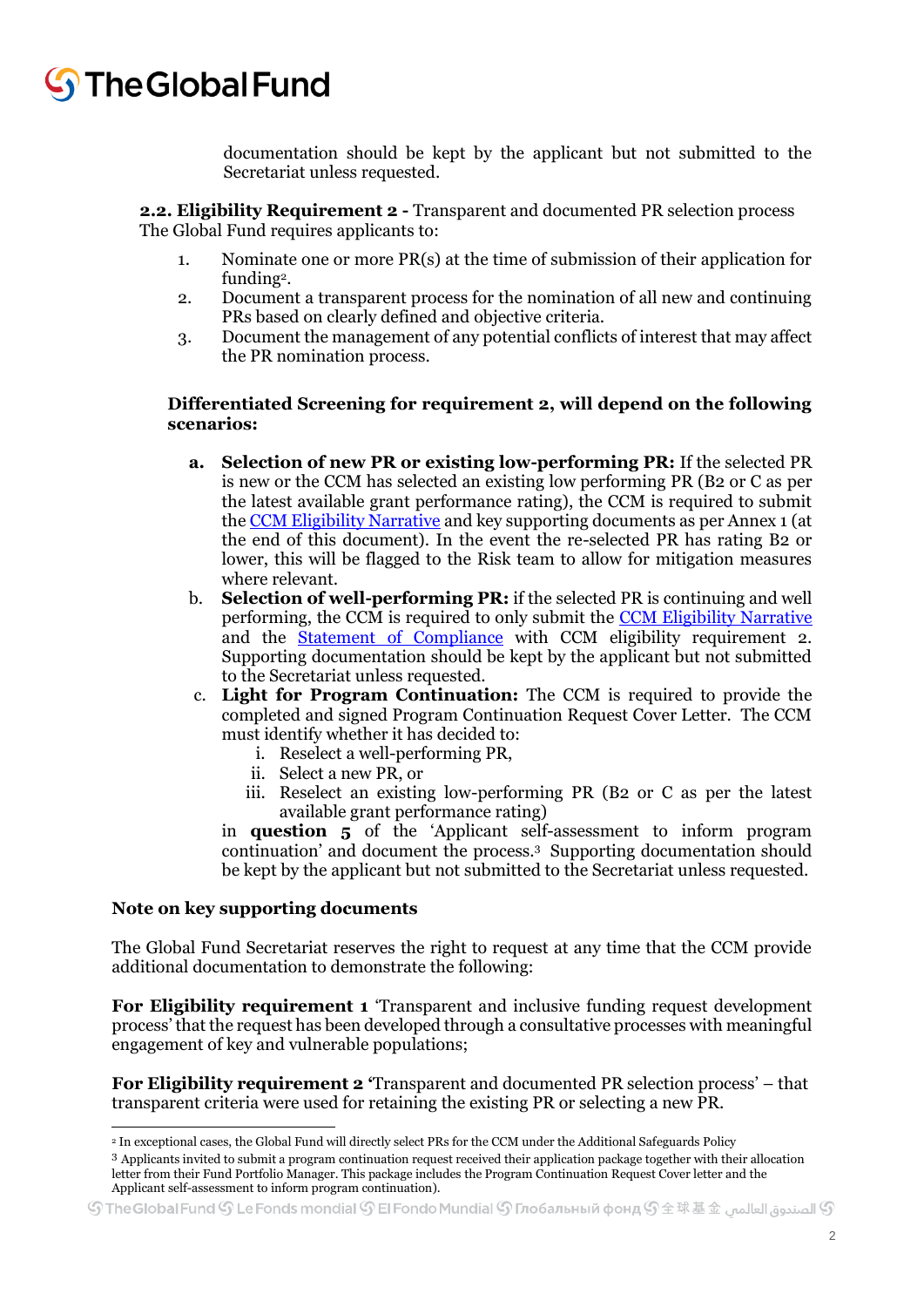## The Global Fund

documentation should be kept by the applicant but not submitted to the Secretariat unless requested.

**2.2. Eligibility Requirement 2 -** Transparent and documented PR selection process The Global Fund requires applicants to:

- 1. Nominate one or more PR(s) at the time of submission of their application for funding<sup>2</sup>.
- 2. Document a transparent process for the nomination of all new and continuing PRs based on clearly defined and objective criteria.
- 3. Document the management of any potential conflicts of interest that may affect the PR nomination process.

#### **Differentiated Screening for requirement 2, will depend on the following scenarios:**

- **a. Selection of new PR or existing low-performing PR:** If the selected PR is new or the CCM has selected an existing low performing PR (B2 or C as per the latest available grant performance rating), the CCM is required to submit the [CCM Eligibility Narrative](http://www.theglobalfund.org/en/applying/funding/materials/) and key supporting documents as per Annex 1 (at the end of this document). In the event the re-selected PR has rating B2 or lower, this will be flagged to the Risk team to allow for mitigation measures where relevant.
- b. **Selection of well-performing PR:** if the selected PR is continuing and well performing, the CCM is required to only submit the [CCM Eligibility Narrative](http://www.theglobalfund.org/en/applying/funding/materials/) and the **[Statement of Compliance](http://www.theglobalfund.org/en/applying/funding/materials/)** with CCM eligibility requirement 2. Supporting documentation should be kept by the applicant but not submitted to the Secretariat unless requested.
- c. **Light for Program Continuation:** The CCM is required to provide the completed and signed Program Continuation Request Cover Letter. The CCM must identify whether it has decided to:
	- i. Reselect a well-performing PR,
	- ii. Select a new PR, or
	- iii. Reselect an existing low-performing PR (B2 or C as per the latest available grant performance rating)

in **question 5** of the 'Applicant self-assessment to inform program continuation' and document the process.<sup>3</sup> Supporting documentation should be kept by the applicant but not submitted to the Secretariat unless requested.

### **Note on key supporting documents**

The Global Fund Secretariat reserves the right to request at any time that the CCM provide additional documentation to demonstrate the following:

**For Eligibility requirement 1** 'Transparent and inclusive funding request development process' that the request has been developed through a consultative processes with meaningful engagement of key and vulnerable populations;

**For Eligibility requirement 2 '**Transparent and documented PR selection process' – that transparent criteria were used for retaining the existing PR or selecting a new PR.

 $\overline{a}$ <sup>2</sup> In exceptional cases, the Global Fund will directly select PRs for the CCM under the Additional Safeguards Policy

<sup>3</sup> Applicants invited to submit a program continuation request received their application package together with their allocation letter from their Fund Portfolio Manager. This package includes the Program Continuation Request Cover letter and the Applicant self-assessment to inform program continuation).

 $\mathbb S$  الصندوة العالمي  $\mathbb S$  The Global Fund  $\mathbb S$  Le Fonds mondial  $\mathbb S$  El Fondo Mundial  $\mathbb S$  Глобальный фонд  $\mathbb S$   $\pm$   $\mathbb R$   $\mathbb R$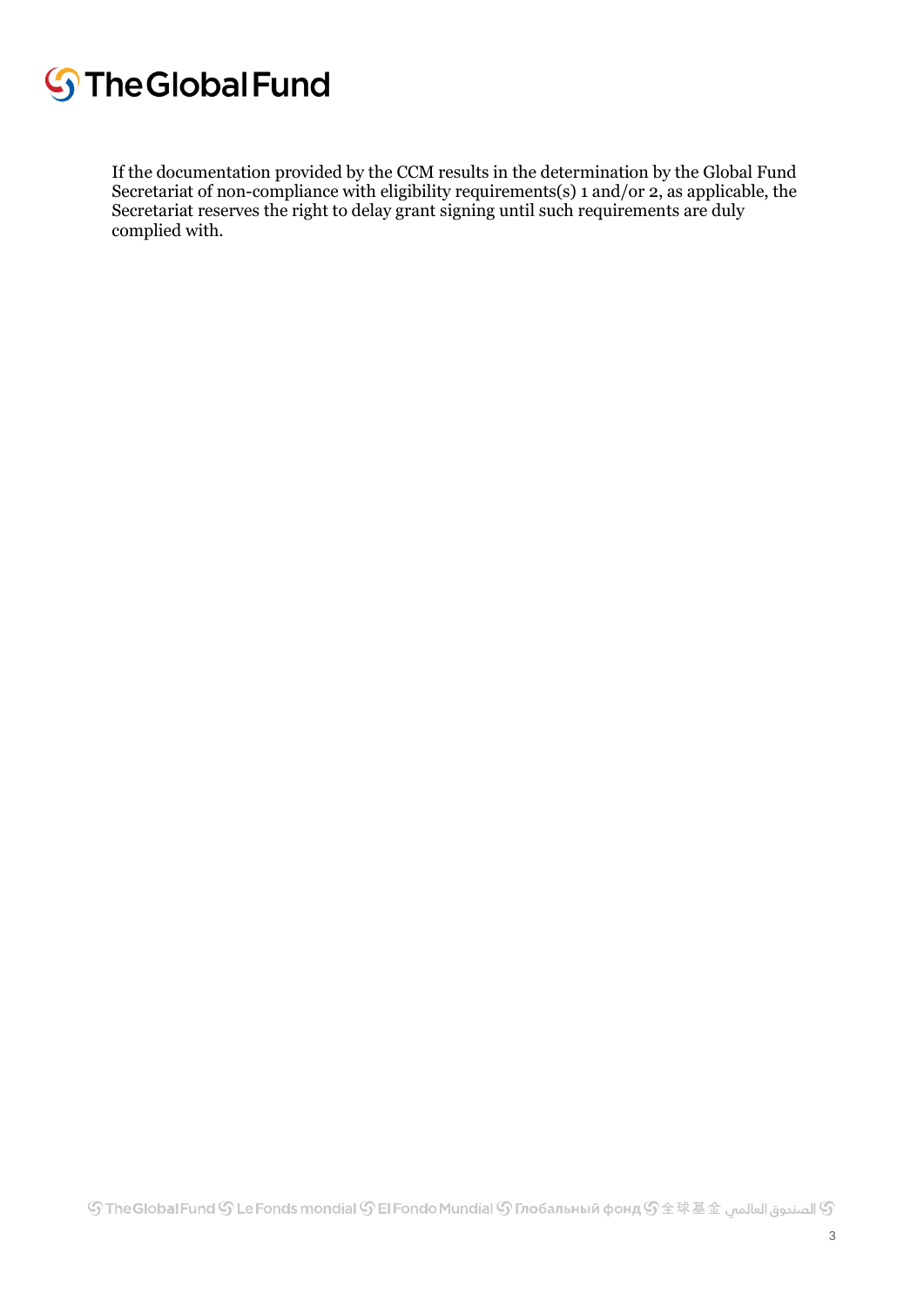# **S**The Global Fund

If the documentation provided by the CCM results in the determination by the Global Fund Secretariat of non-compliance with eligibility requirements(s) 1 and/or 2, as applicable, the Secretariat reserves the right to delay grant signing until such requirements are duly complied with.